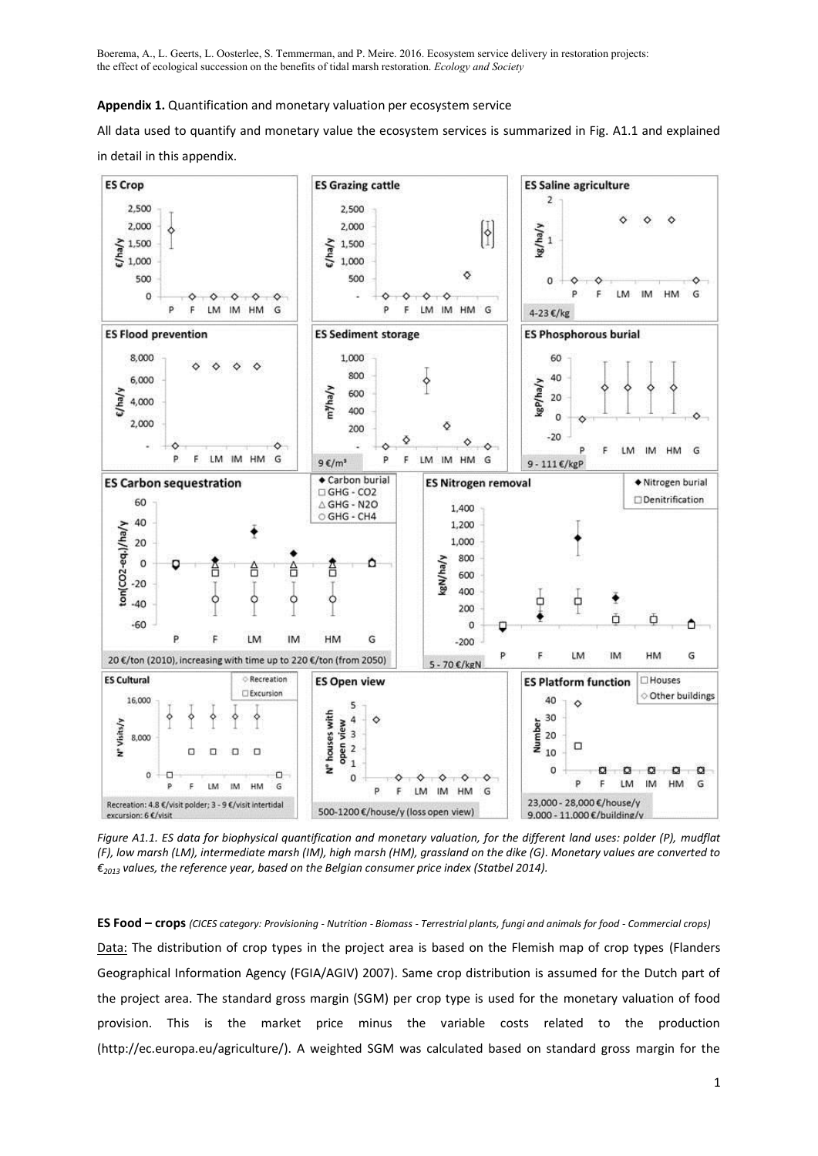**Appendix 1.** Quantification and monetary valuation per ecosystem service

All data used to quantify and monetary value the ecosystem services is summarized in Fig. A1.1 and explained in detail in this appendix.



*Figure A1.1. ES data for biophysical quantification and monetary valuation, for the different land uses: polder (P), mudflat (F), low marsh (LM), intermediate marsh (IM), high marsh (HM), grassland on the dike (G). Monetary values are converted to €<sup>2013</sup> values, the reference year, based on the Belgian consumer price index (Statbel 2014).*

**ES Food – crops** *(CICES category: Provisioning - Nutrition - Biomass - Terrestrial plants, fungi and animals for food - Commercial crops)* Data: The distribution of crop types in the project area is based on the Flemish map of crop types (Flanders Geographical Information Agency (FGIA/AGIV) 2007). Same crop distribution is assumed for the Dutch part of the project area. The standard gross margin (SGM) per crop type is used for the monetary valuation of food provision. This is the market price minus the variable costs related to the production (http://ec.europa.eu/agriculture/). A weighted SGM was calculated based on standard gross margin for the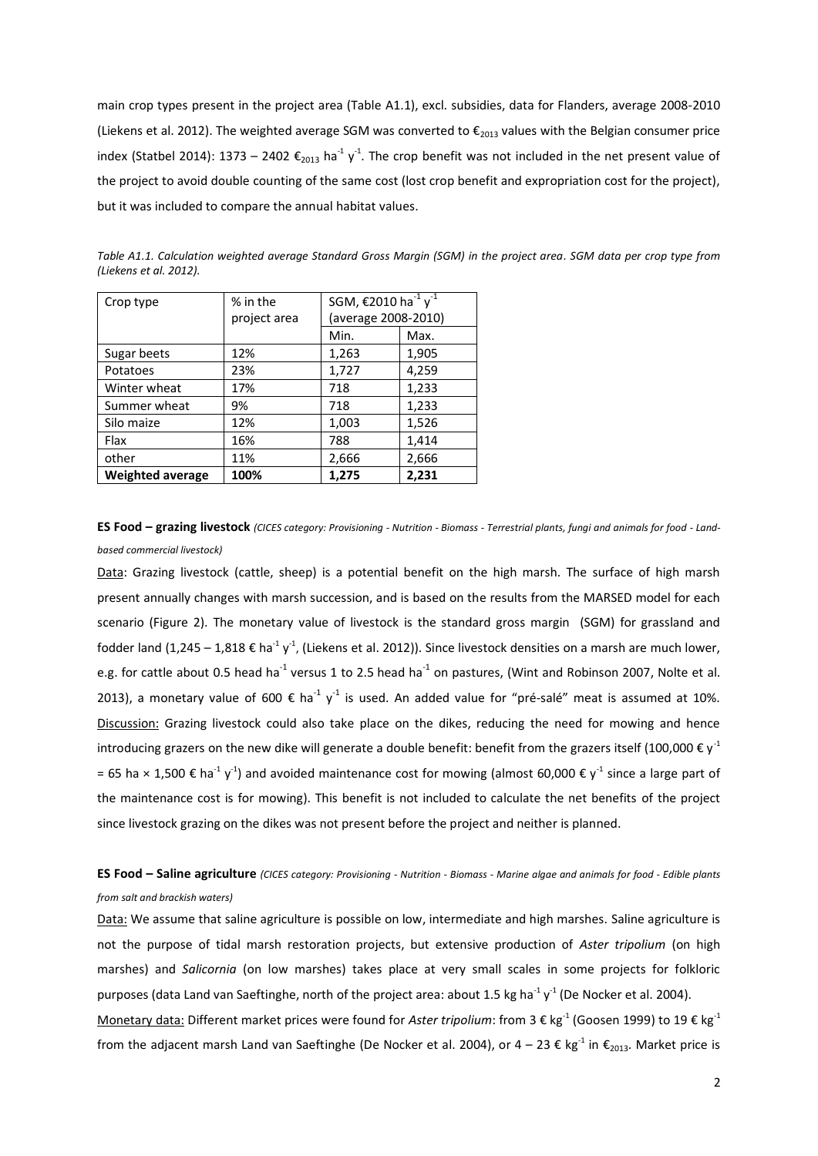main crop types present in the project area (Table A1.1), excl. subsidies, data for Flanders, average 2008-2010 [\(Liekens et al. 2012\)](#page-9-0). The weighted average SGM was converted to  $\epsilon_{2013}$  values with the Belgian consumer price index [\(Statbel 2014\)](#page-9-1): 1373 – 2402  $\epsilon_{2013}$  ha<sup>-1</sup> y<sup>-1</sup>. The crop benefit was not included in the net present value of the project to avoid double counting of the same cost (lost crop benefit and expropriation cost for the project), but it was included to compare the annual habitat values.

| Crop type               | % in the     | SGM, €2010 ha <sup>-1</sup> y <sup>-1</sup><br>(average 2008-2010) |       |
|-------------------------|--------------|--------------------------------------------------------------------|-------|
|                         | project area |                                                                    |       |
|                         |              | Min.                                                               | Max.  |
| Sugar beets             | 12%          | 1,263                                                              | 1,905 |
| Potatoes                | 23%          | 1,727                                                              | 4,259 |
| Winter wheat            | 17%          | 718                                                                | 1,233 |
| Summer wheat            | 9%           | 718                                                                | 1,233 |
| Silo maize              | 12%          | 1,003                                                              | 1,526 |
| Flax                    | 16%          | 788                                                                | 1,414 |
| other                   | 11%          | 2,666                                                              | 2,666 |
| <b>Weighted average</b> | 100%         | 1,275                                                              | 2,231 |

*Table A1.1. Calculation weighted average Standard Gross Margin (SGM) in the project area. SGM data per crop type from [\(Liekens et al. 2012\)](#page-9-0).*

**ES Food – grazing livestock** *(CICES category: Provisioning - Nutrition - Biomass - Terrestrial plants, fungi and animals for food - Landbased commercial livestock)*

Data: Grazing livestock (cattle, sheep) is a potential benefit on the high marsh. The surface of high marsh present annually changes with marsh succession, and is based on the results from the MARSED model for each scenario (Figure 2). The monetary value of livestock is the standard gross margin (SGM) for grassland and fodder land (1,245 – 1,818 € ha<sup>-1</sup> y<sup>-1</sup>, [\(Liekens et al. 2012\)](#page-9-0)). Since livestock densities on a marsh are much lower, e.g. for cattle about 0.5 head ha<sup>-1</sup> versus 1 to 2.5 head ha<sup>-1</sup> on pastures, [\(Wint and Robinson 2007,](#page-9-2) Nolte et al. [2013\)](#page-9-3), a monetary value of 600 € ha<sup>-1</sup> y<sup>-1</sup> is used. An added value for "pré-salé" meat is assumed at 10%. Discussion: Grazing livestock could also take place on the dikes, reducing the need for mowing and hence introducing grazers on the new dike will generate a double benefit: benefit from the grazers itself (100,000  $\epsilon$  y<sup>-1</sup> = 65 ha × 1,500 € ha<sup>-1</sup> y<sup>-1</sup>) and avoided maintenance cost for mowing (almost 60,000 € y<sup>-1</sup> since a large part of the maintenance cost is for mowing). This benefit is not included to calculate the net benefits of the project since livestock grazing on the dikes was not present before the project and neither is planned.

## **ES Food – Saline agriculture** *(CICES category: Provisioning - Nutrition - Biomass - Marine algae and animals for food - Edible plants from salt and brackish waters)*

Data: We assume that saline agriculture is possible on low, intermediate and high marshes. Saline agriculture is not the purpose of tidal marsh restoration projects, but extensive production of *Aster tripolium* (on high marshes) and *Salicornia* (on low marshes) takes place at very small scales in some projects for folkloric purposes (data Land van Saeftinghe, north of the project area: about 1.5 kg ha<sup>-1</sup> y<sup>-1</sup> [\(De Nocker et al. 2004\)](#page-8-0).

Monetary data: Different market prices were found for Aster tripolium: from 3 € kg<sup>-1</sup> [\(Goosen 1999\)](#page-9-4) to 19 € kg<sup>-1</sup> from the adjacent marsh Land van Saeftinghe [\(De Nocker et al. 2004\)](#page-8-0), or 4 – 23 € kg<sup>-1</sup> in  $\epsilon_{z013}$ . Market price is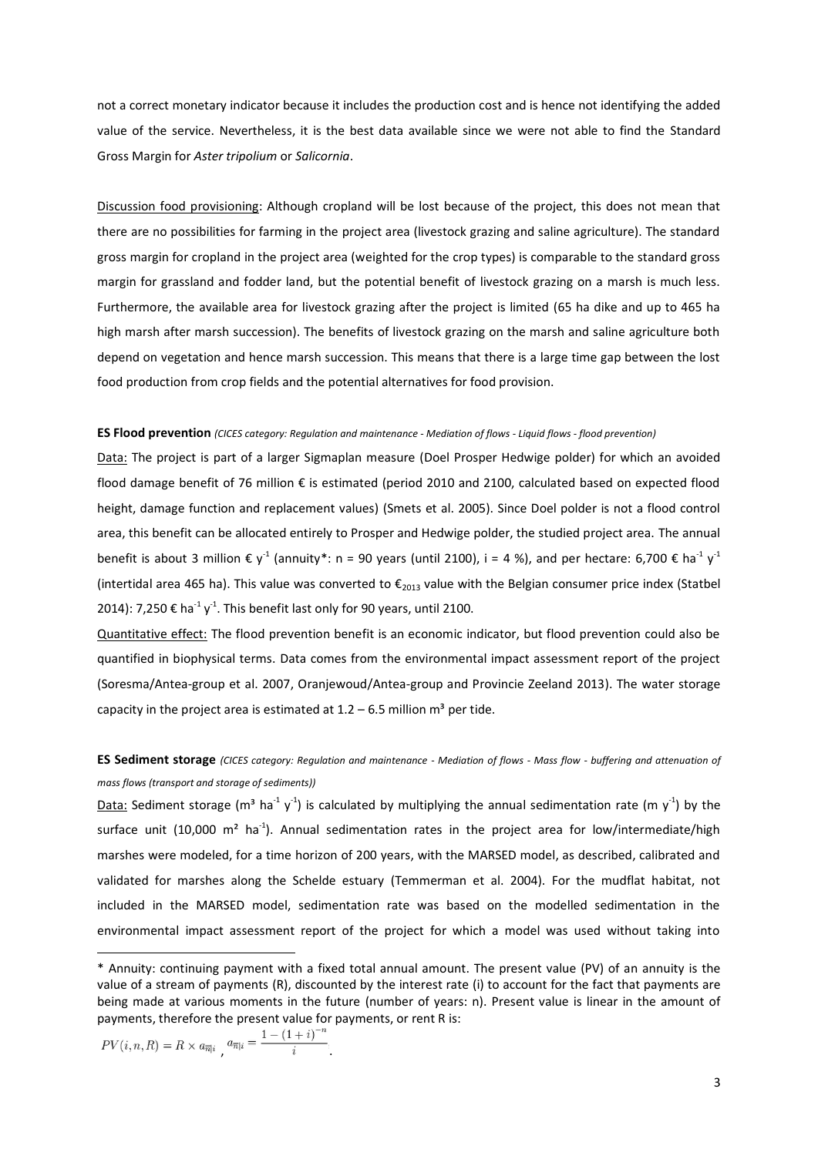not a correct monetary indicator because it includes the production cost and is hence not identifying the added value of the service. Nevertheless, it is the best data available since we were not able to find the Standard Gross Margin for *Aster tripolium* or *Salicornia*.

Discussion food provisioning: Although cropland will be lost because of the project, this does not mean that there are no possibilities for farming in the project area (livestock grazing and saline agriculture). The standard gross margin for cropland in the project area (weighted for the crop types) is comparable to the standard gross margin for grassland and fodder land, but the potential benefit of livestock grazing on a marsh is much less. Furthermore, the available area for livestock grazing after the project is limited (65 ha dike and up to 465 ha high marsh after marsh succession). The benefits of livestock grazing on the marsh and saline agriculture both depend on vegetation and hence marsh succession. This means that there is a large time gap between the lost food production from crop fields and the potential alternatives for food provision.

#### **ES Flood prevention** *(CICES category: Regulation and maintenance - Mediation of flows - Liquid flows - flood prevention)*

Data: The project is part of a larger Sigmaplan measure (Doel Prosper Hedwige polder) for which an avoided flood damage benefit of 76 million € is estimated (period 2010 and 2100, calculated based on expected flood height, damage function and replacement values) [\(Smets et al. 2005\)](#page-9-5). Since Doel polder is not a flood control area, this benefit can be allocated entirely to Prosper and Hedwige polder, the studied project area. The annual benefit is about 3 million  $\epsilon y^1$  (annuity\*: n = 90 years (until 2100), i = 4 %), and per hectare: 6,700  $\epsilon$  ha<sup>-1</sup> y<sup>-1</sup> (intertidal area 465 ha). This value was converted to  $\epsilon_{2013}$  value with the Belgian consumer price index (Statbel [2014\)](#page-9-1): 7,250 € ha<sup>-1</sup> y<sup>-1</sup>. This benefit last only for 90 years, until 2100.

Quantitative effect: The flood prevention benefit is an economic indicator, but flood prevention could also be quantified in biophysical terms. Data comes from the environmental impact assessment report of the project [\(Soresma/Antea-group et al. 2007,](#page-9-6) [Oranjewoud/Antea-group and Provincie Zeeland 2013\)](#page-9-7). The water storage capacity in the project area is estimated at  $1.2 - 6.5$  million m<sup>3</sup> per tide.

# **ES Sediment storage** *(CICES category: Regulation and maintenance - Mediation of flows - Mass flow - buffering and attenuation of mass flows (transport and storage of sediments))*

Data: Sediment storage (m<sup>3</sup> ha<sup>-1</sup> y<sup>-1</sup>) is calculated by multiplying the annual sedimentation rate (m y<sup>-1</sup>) by the surface unit (10,000 m<sup>2</sup> ha<sup>-1</sup>). Annual sedimentation rates in the project area for low/intermediate/high marshes were modeled, for a time horizon of 200 years, with the MARSED model, as described, calibrated and validated for marshes along the Schelde estuary [\(Temmerman et al. 2004\)](#page-9-8). For the mudflat habitat, not included in the MARSED model, sedimentation rate was based on the modelled sedimentation in the environmental impact assessment report of the project for which a model was used without taking into

$$
PV(i, n, R) = R \times a_{\overline{n}|i} \quad a_{\overline{n}|i} = \frac{1 - (1 + i)^{-n}}{i}.
$$

 $\overline{a}$ 

<sup>\*</sup> Annuity: continuing payment with a fixed total annual amount. The present value (PV) of an annuity is the value of a stream of payments (R), discounted by the interest rate (i) to account for the fact that payments are being made at various moments in the future (number of years: n). Present value is linear in the amount of payments, therefore the present value for payments, or rent R is: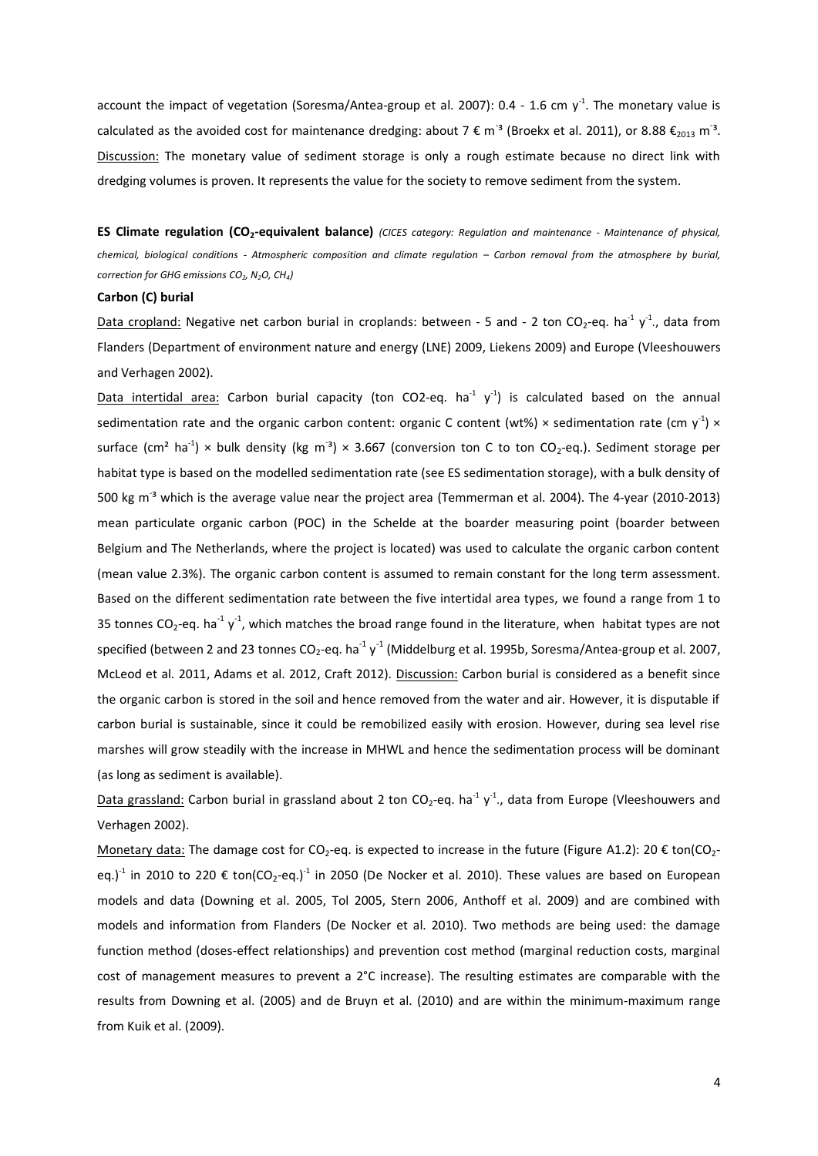account the impact of vegetation [\(Soresma/Antea-group et al. 2007\)](#page-9-6): 0.4 - 1.6 cm  $y<sup>-1</sup>$ . The monetary value is calculated as the avoided cost for maintenance dredging: about 7  $\epsilon$  m<sup>-3</sup> [\(Broekx et al. 2011\)](#page-8-1), or 8.88  $\epsilon_{2013}$  m<sup>-3</sup>. Discussion: The monetary value of sediment storage is only a rough estimate because no direct link with dredging volumes is proven. It represents the value for the society to remove sediment from the system.

**ES Climate regulation (CO2-equivalent balance)** *(CICES category: Regulation and maintenance - Maintenance of physical, chemical, biological conditions - Atmospheric composition and climate regulation – Carbon removal from the atmosphere by burial, correction for GHG emissions CO2, N2O, CH4)*

### **Carbon (C) burial**

Data cropland: Negative net carbon burial in croplands: between - 5 and - 2 ton CO<sub>2</sub>-eq. ha<sup>-1</sup> y<sup>-1</sup>., data from Flanders [\(Department of environment nature and energy \(LNE\) 2009,](#page-8-2) [Liekens 2009\)](#page-9-9) and Europe [\(Vleeshouwers](#page-9-10)  [and Verhagen 2002\)](#page-9-10).

Data intertidal area: Carbon burial capacity (ton CO2-eq. ha<sup>-1</sup> y<sup>-1</sup>) is calculated based on the annual sedimentation rate and the organic carbon content: organic C content (wt%) × sedimentation rate (cm y<sup>-1</sup>) × surface (cm<sup>2</sup> ha<sup>-1</sup>) × bulk density (kg m<sup>-3</sup>) × 3.667 (conversion ton C to ton CO<sub>2</sub>-eq.). Sediment storage per habitat type is based on the modelled sedimentation rate (see ES sedimentation storage), with a bulk density of 500 kg m<sup>-3</sup> which is the average value near the project area [\(Temmerman et al. 2004\)](#page-9-8). The 4-year (2010-2013) mean particulate organic carbon (POC) in the Schelde at the boarder measuring point (boarder between Belgium and The Netherlands, where the project is located) was used to calculate the organic carbon content (mean value 2.3%). The organic carbon content is assumed to remain constant for the long term assessment. Based on the different sedimentation rate between the five intertidal area types, we found a range from 1 to 35 tonnes CO<sub>2</sub>-eq. ha<sup>-1</sup> y<sup>-1</sup>, which matches the broad range found in the literature, when habitat types are not specified (between 2 and 23 tonnes CO<sub>2</sub>-eq. ha<sup>-1</sup> y<sup>-1</sup> [\(Middelburg et al. 1995b,](#page-9-11) [Soresma/Antea-group et al. 2007,](#page-9-6) [McLeod et al. 2011,](#page-9-12) [Adams et al. 2012,](#page-8-3) [Craft 2012\)](#page-8-4). Discussion: Carbon burial is considered as a benefit since the organic carbon is stored in the soil and hence removed from the water and air. However, it is disputable if carbon burial is sustainable, since it could be remobilized easily with erosion. However, during sea level rise marshes will grow steadily with the increase in MHWL and hence the sedimentation process will be dominant (as long as sediment is available).

Data grassland: Carbon burial in grassland about 2 ton CO<sub>2</sub>-eq. ha<sup>-1</sup> y<sup>-1</sup>., data from Europe (Vleeshouwers and [Verhagen 2002\)](#page-9-10).

Monetary data: The damage cost for CO<sub>2</sub>-eq. is expected to increase in the future (Figure A1.2): 20  $\epsilon$  ton(CO<sub>2</sub>eq.)<sup>1</sup> in 2010 to 220  $\epsilon$  ton(CO<sub>2</sub>-eq.)<sup>1</sup> in 2050 [\(De Nocker et al. 2010\)](#page-8-5). These values are based on European models and data [\(Downing et al. 2005,](#page-8-6) [Tol 2005,](#page-9-13) [Stern 2006,](#page-9-14) [Anthoff et al. 2009\)](#page-8-7) and are combined with models and information from Flanders [\(De Nocker et al. 2010\)](#page-8-5). Two methods are being used: the damage function method (doses-effect relationships) and prevention cost method (marginal reduction costs, marginal cost of management measures to prevent a 2°C increase). The resulting estimates are comparable with the results from Downing et al. [\(2005\)](#page-8-6) and de Bruyn et al. [\(2010\)](#page-8-8) and are within the minimum-maximum range from Kuik et al. [\(2009\)](#page-9-15).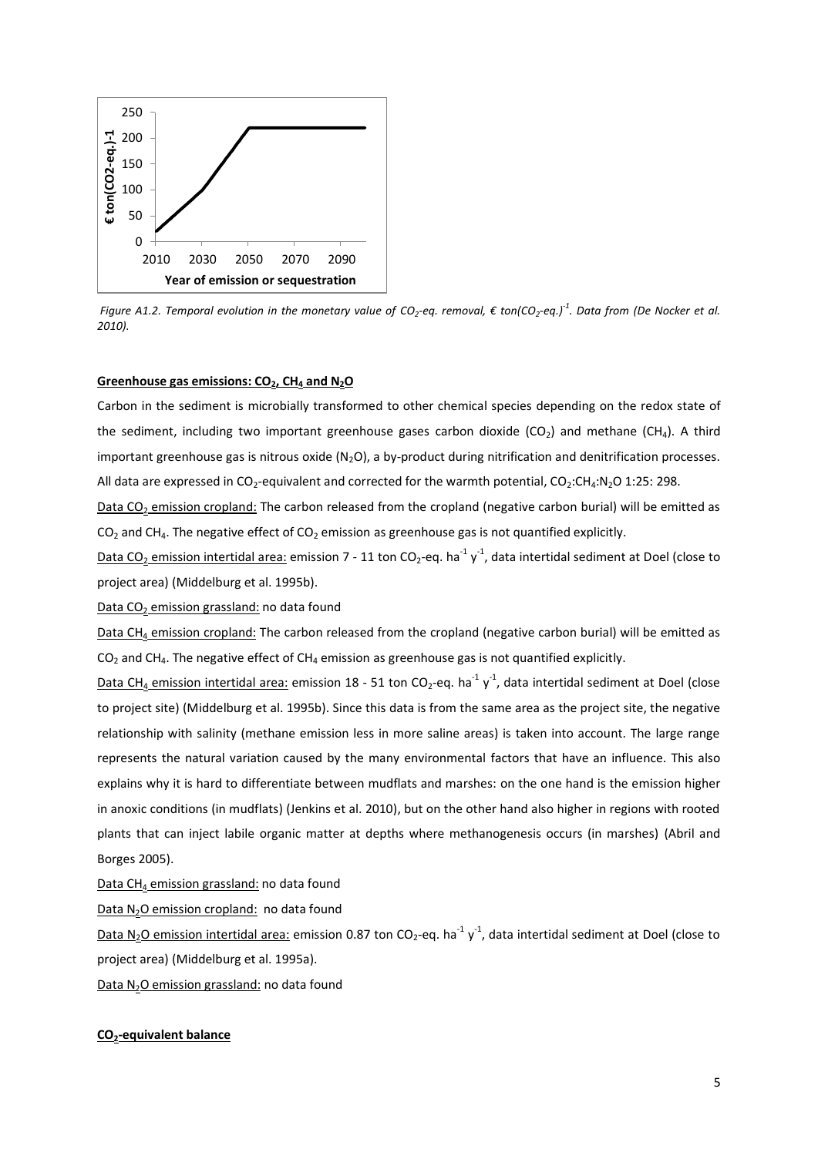

*Figure A1.2. Temporal evolution in the monetary value of CO<sup>2</sup> -eq. removal, € ton(CO<sup>2</sup> -eq.)-1 . Data from [\(De Nocker et al.](#page-8-5)  [2010\)](#page-8-5).*

### **Greenhouse gas emissions: CO2, CH<sup>4</sup> and N2O**

Carbon in the sediment is microbially transformed to other chemical species depending on the redox state of the sediment, including two important greenhouse gases carbon dioxide ( $CO<sub>2</sub>$ ) and methane ( $CH<sub>4</sub>$ ). A third important greenhouse gas is nitrous oxide ( $N_2O$ ), a by-product during nitrification and denitrification processes. All data are expressed in  $CO_2$ -equivalent and corrected for the warmth potential,  $CO_2$ : $CH_4:N_2O$  1:25: 298.

Data CO<sub>2</sub> emission cropland: The carbon released from the cropland (negative carbon burial) will be emitted as  $CO<sub>2</sub>$  and CH<sub>4</sub>. The negative effect of CO<sub>2</sub> emission as greenhouse gas is not quantified explicitly.

Data CO<sub>2</sub> emission intertidal area: emission 7 - 11 ton CO<sub>2</sub>-eq. ha<sup>-1</sup> y<sup>-1</sup>, data intertidal sediment at Doel (close to project area) [\(Middelburg et al. 1995b\)](#page-9-11).

Data CO<sub>2</sub> emission grassland: no data found

Data CH<sub>4</sub> emission cropland: The carbon released from the cropland (negative carbon burial) will be emitted as  $CO<sub>2</sub>$  and CH<sub>4</sub>. The negative effect of CH<sub>4</sub> emission as greenhouse gas is not quantified explicitly.

Data CH<sub>4</sub> emission intertidal area: emission 18 - 51 ton CO<sub>2</sub>-eq. ha<sup>-1</sup> y<sup>-1</sup>, data intertidal sediment at Doel (close to project site) [\(Middelburg et al. 1995b\)](#page-9-11). Since this data is from the same area as the project site, the negative relationship with salinity (methane emission less in more saline areas) is taken into account. The large range represents the natural variation caused by the many environmental factors that have an influence. This also explains why it is hard to differentiate between mudflats and marshes: on the one hand is the emission higher in anoxic conditions (in mudflats) [\(Jenkins et al. 2010\)](#page-9-16), but on the other hand also higher in regions with rooted plants that can inject labile organic matter at depths where methanogenesis occurs (in marshes) [\(Abril and](#page-8-9)  [Borges 2005\)](#page-8-9).

Data  $CH_4$  emission grassland: no data found

Data N<sub>2</sub>O emission cropland: no data found

Data N<sub>2</sub>O emission intertidal area: emission 0.87 ton CO<sub>2</sub>-eq. ha<sup>-1</sup> y<sup>-1</sup>, data intertidal sediment at Doel (close to project area) [\(Middelburg et al. 1995a\)](#page-9-17).

Data N<sub>2</sub>O emission grassland: no data found

### **CO2-equivalent balance**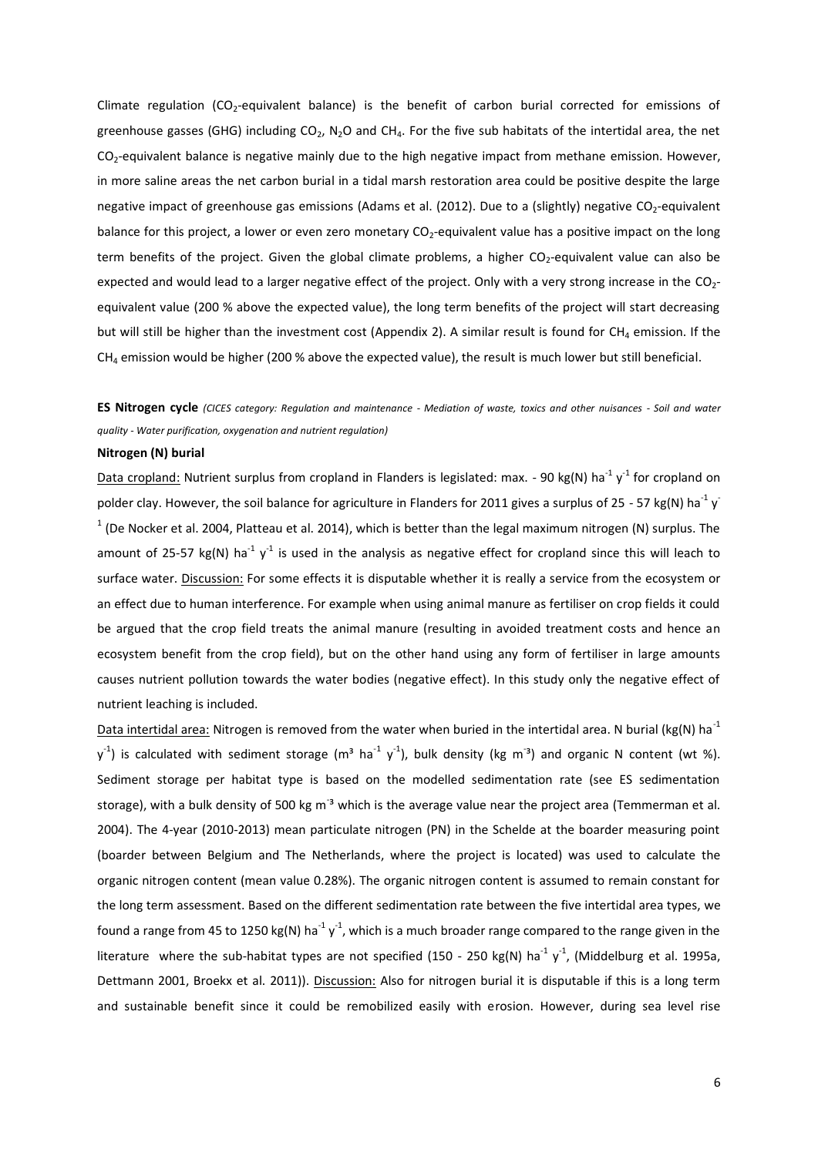Climate regulation (CO<sub>2</sub>-equivalent balance) is the benefit of carbon burial corrected for emissions of greenhouse gasses (GHG) including  $CO<sub>2</sub>$ , N<sub>2</sub>O and CH<sub>4</sub>. For the five sub habitats of the intertidal area, the net  $CO<sub>2</sub>$ -equivalent balance is negative mainly due to the high negative impact from methane emission. However, in more saline areas the net carbon burial in a tidal marsh restoration area could be positive despite the large negative impact of greenhouse gas emissions (Adams et al. [\(2012\)](#page-8-3). Due to a (slightly) negative CO<sub>2</sub>-equivalent balance for this project, a lower or even zero monetary CO<sub>2</sub>-equivalent value has a positive impact on the long term benefits of the project. Given the global climate problems, a higher  $CO<sub>2</sub>$ -equivalent value can also be expected and would lead to a larger negative effect of the project. Only with a very strong increase in the  $CO<sub>2</sub>$ equivalent value (200 % above the expected value), the long term benefits of the project will start decreasing but will still be higher than the investment cost (Appendix 2). A similar result is found for  $CH_4$  emission. If the  $CH<sub>4</sub>$  emission would be higher (200 % above the expected value), the result is much lower but still beneficial.

## **ES Nitrogen cycle** *(CICES category: Regulation and maintenance - Mediation of waste, toxics and other nuisances - Soil and water quality - Water purification, oxygenation and nutrient regulation)*

#### **Nitrogen (N) burial**

Data cropland: Nutrient surplus from cropland in Flanders is legislated: max. - 90 kg(N) ha<sup>-1</sup> y<sup>-1</sup> for cropland on polder clay. However, the soil balance for agriculture in Flanders for 2011 gives a surplus of 25 - 57 kg(N) ha<sup>-1</sup> y  $1$  [\(De Nocker et al. 2004,](#page-8-0) [Platteau et al. 2014\)](#page-9-18), which is better than the legal maximum nitrogen (N) surplus. The amount of 25-57 kg(N) ha<sup>-1</sup> y<sup>-1</sup> is used in the analysis as negative effect for cropland since this will leach to surface water. Discussion: For some effects it is disputable whether it is really a service from the ecosystem or an effect due to human interference. For example when using animal manure as fertiliser on crop fields it could be argued that the crop field treats the animal manure (resulting in avoided treatment costs and hence an ecosystem benefit from the crop field), but on the other hand using any form of fertiliser in large amounts causes nutrient pollution towards the water bodies (negative effect). In this study only the negative effect of nutrient leaching is included.

Data intertidal area: Nitrogen is removed from the water when buried in the intertidal area. N burial (kg(N) ha<sup>-1</sup>  $y^{-1}$ ) is calculated with sediment storage (m<sup>3</sup> ha<sup>-1</sup> y<sup>-1</sup>), bulk density (kg m<sup>-3</sup>) and organic N content (wt %). Sediment storage per habitat type is based on the modelled sedimentation rate (see ES sedimentation storage), with a bulk density of 500 kg m<sup>-3</sup> which is the average value near the project area (Temmerman et al. [2004\)](#page-9-8). The 4-year (2010-2013) mean particulate nitrogen (PN) in the Schelde at the boarder measuring point (boarder between Belgium and The Netherlands, where the project is located) was used to calculate the organic nitrogen content (mean value 0.28%). The organic nitrogen content is assumed to remain constant for the long term assessment. Based on the different sedimentation rate between the five intertidal area types, we found a range from 45 to 1250 kg(N) ha<sup>-1</sup> y<sup>-1</sup>, which is a much broader range compared to the range given in the literature where the sub-habitat types are not specified (150 - 250 kg(N) ha<sup>-1</sup> y<sup>-1</sup>, [\(Middelburg et al. 1995a,](#page-9-17) [Dettmann 2001,](#page-8-10) [Broekx et al. 2011\)](#page-8-1)). Discussion: Also for nitrogen burial it is disputable if this is a long term and sustainable benefit since it could be remobilized easily with erosion. However, during sea level rise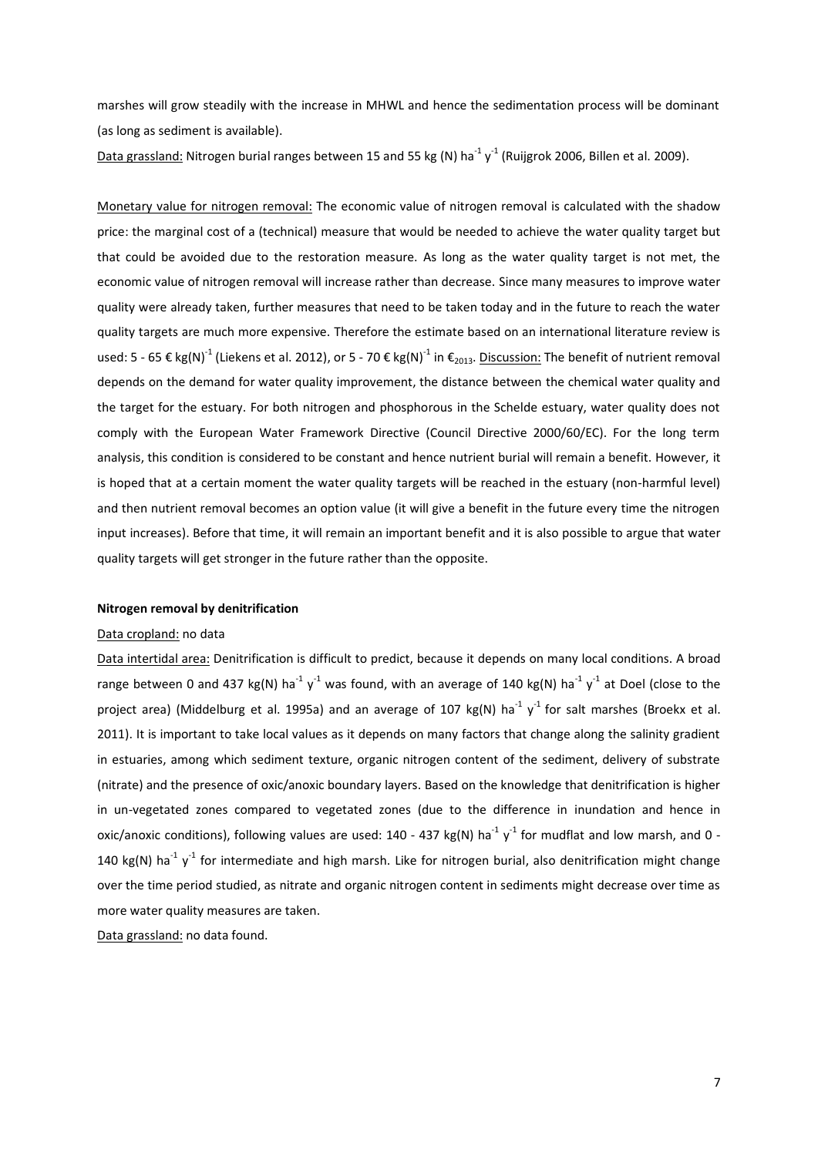marshes will grow steadily with the increase in MHWL and hence the sedimentation process will be dominant (as long as sediment is available).

Data grassland: Nitrogen burial ranges between 15 and 55 kg (N) ha $^{-1}$  y<sup>-1</sup> [\(Ruijgrok 2006,](#page-9-19) [Billen et al. 2009\)](#page-8-11).

Monetary value for nitrogen removal: The economic value of nitrogen removal is calculated with the shadow price: the marginal cost of a (technical) measure that would be needed to achieve the water quality target but that could be avoided due to the restoration measure. As long as the water quality target is not met, the economic value of nitrogen removal will increase rather than decrease. Since many measures to improve water quality were already taken, further measures that need to be taken today and in the future to reach the water quality targets are much more expensive. Therefore the estimate based on an international literature review is used: 5 - 65 € kg(N)<sup>-1</sup> [\(Liekens et al. 2012\)](#page-9-0), or 5 - 70 € kg(N)<sup>-1</sup> in €<sub>2013</sub>. <u>Discussion:</u> The benefit of nutrient removal depends on the demand for water quality improvement, the distance between the chemical water quality and the target for the estuary. For both nitrogen and phosphorous in the Schelde estuary, water quality does not comply with the European Water Framework Directive (Council Directive 2000/60/EC). For the long term analysis, this condition is considered to be constant and hence nutrient burial will remain a benefit. However, it is hoped that at a certain moment the water quality targets will be reached in the estuary (non-harmful level) and then nutrient removal becomes an option value (it will give a benefit in the future every time the nitrogen input increases). Before that time, it will remain an important benefit and it is also possible to argue that water quality targets will get stronger in the future rather than the opposite.

### **Nitrogen removal by denitrification**

#### Data cropland: no data

Data intertidal area: Denitrification is difficult to predict, because it depends on many local conditions. A broad range between 0 and 437 kg(N) ha<sup>-1</sup> y<sup>-1</sup> was found, with an average of 140 kg(N) ha<sup>-1</sup> y<sup>-1</sup> at Doel (close to the project area) [\(Middelburg et al. 1995a\)](#page-9-17) and an average of 107 kg(N) ha<sup>-1</sup> y<sup>-1</sup> for salt marshes (Broekx et al. [2011\)](#page-8-1). It is important to take local values as it depends on many factors that change along the salinity gradient in estuaries, among which sediment texture, organic nitrogen content of the sediment, delivery of substrate (nitrate) and the presence of oxic/anoxic boundary layers. Based on the knowledge that denitrification is higher in un-vegetated zones compared to vegetated zones (due to the difference in inundation and hence in oxic/anoxic conditions), following values are used: 140 - 437 kg(N) ha<sup>-1</sup> y<sup>-1</sup> for mudflat and low marsh, and 0 -140 kg(N) ha<sup>-1</sup> y<sup>-1</sup> for intermediate and high marsh. Like for nitrogen burial, also denitrification might change over the time period studied, as nitrate and organic nitrogen content in sediments might decrease over time as more water quality measures are taken.

Data grassland: no data found.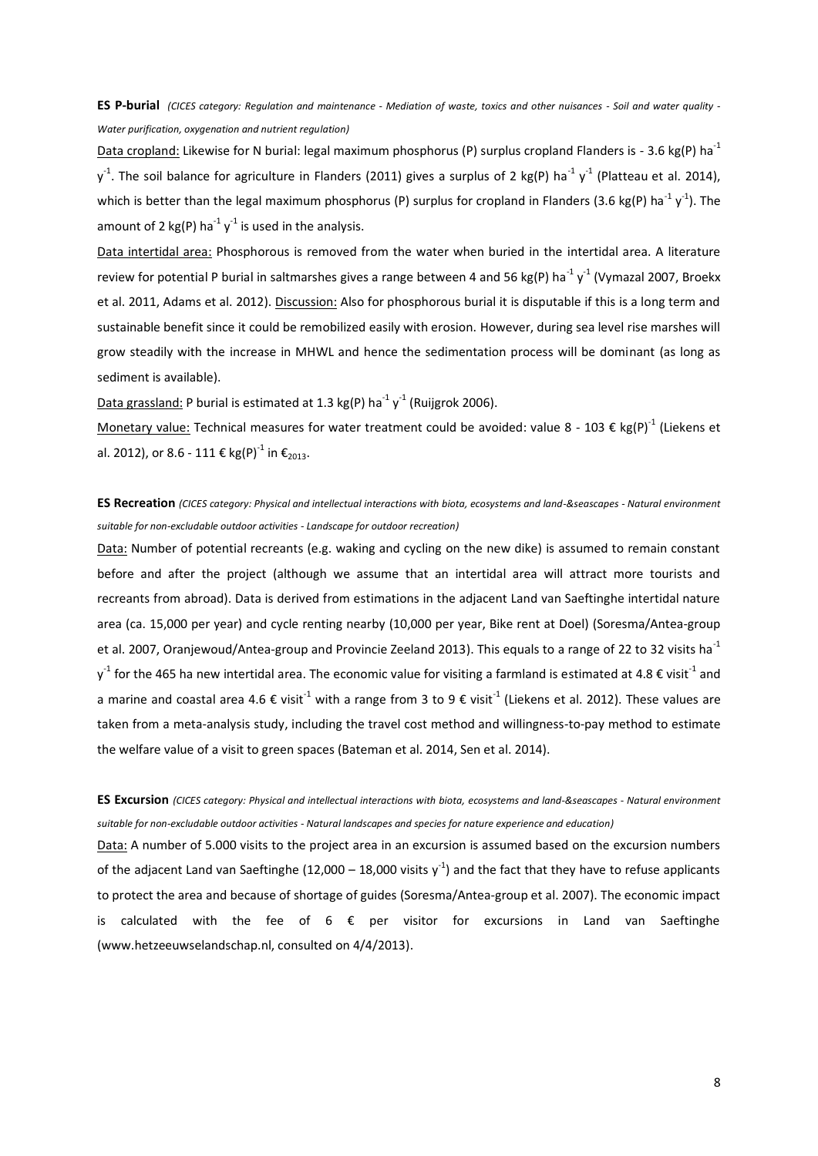**ES P-burial** *(CICES category: Regulation and maintenance - Mediation of waste, toxics and other nuisances - Soil and water quality - Water purification, oxygenation and nutrient regulation)*

Data cropland: Likewise for N burial: legal maximum phosphorus (P) surplus cropland Flanders is - 3.6 kg(P) ha<sup>-1</sup>  $y^1$ . The soil balance for agriculture in Flanders (2011) gives a surplus of 2 kg(P) ha<sup>-1</sup> y<sup>-1</sup> [\(Platteau et al. 2014\)](#page-9-18), which is better than the legal maximum phosphorus (P) surplus for cropland in Flanders (3.6 kg(P) ha<sup>-1</sup> y<sup>-1</sup>). The amount of 2 kg(P) ha<sup>-1</sup> y<sup>-1</sup> is used in the analysis.

Data intertidal area: Phosphorous is removed from the water when buried in the intertidal area. A literature review for potential P burial in saltmarshes gives a range between 4 and 56 kg(P) ha<sup>-1</sup> y<sup>-1</sup> [\(Vymazal 2007,](#page-9-20) Broekx [et al. 2011,](#page-8-1) [Adams et al. 2012\)](#page-8-3). Discussion: Also for phosphorous burial it is disputable if this is a long term and sustainable benefit since it could be remobilized easily with erosion. However, during sea level rise marshes will grow steadily with the increase in MHWL and hence the sedimentation process will be dominant (as long as sediment is available).

Data grassland: P burial is estimated at 1.3 kg(P) ha<sup>-1</sup> y<sup>-1</sup> [\(Ruijgrok 2006\)](#page-9-19).

Monetary value: Technical measures for water treatment could be avoided: value 8 - 103 € kg(P)<sup>-1</sup> (Liekens et [al. 2012\)](#page-9-0), or 8.6 - 111 € kg(P)<sup>-1</sup> in  $\epsilon_{\rm 2013}$ .

**ES Recreation** *(CICES category: Physical and intellectual interactions with biota, ecosystems and land-&seascapes - Natural environment suitable for non-excludable outdoor activities - Landscape for outdoor recreation)*

Data: Number of potential recreants (e.g. waking and cycling on the new dike) is assumed to remain constant before and after the project (although we assume that an intertidal area will attract more tourists and recreants from abroad). Data is derived from estimations in the adjacent Land van Saeftinghe intertidal nature area (ca. 15,000 per year) and cycle renting nearby (10,000 per year, Bike rent at Doel) [\(Soresma/Antea-group](#page-9-6)  [et al. 2007,](#page-9-6) [Oranjewoud/Antea-group and Provincie Zeeland 2013\)](#page-9-7). This equals to a range of 22 to 32 visits ha<sup>-1</sup>  $y^1$  for the 465 ha new intertidal area. The economic value for visiting a farmland is estimated at 4.8  $\epsilon$  visit<sup>-1</sup> and a marine and coastal area 4.6  $\epsilon$  visit<sup>-1</sup> with a range from 3 to 9  $\epsilon$  visit<sup>-1</sup> [\(Liekens et al. 2012\)](#page-9-0). These values are taken from a meta-analysis study, including the travel cost method and willingness-to-pay method to estimate the welfare value of a visit to green spaces [\(Bateman et al. 2014,](#page-8-12) [Sen et al. 2014\)](#page-9-21).

**ES Excursion** *(CICES category: Physical and intellectual interactions with biota, ecosystems and land-&seascapes - Natural environment suitable for non-excludable outdoor activities - Natural landscapes and species for nature experience and education)*

Data: A number of 5.000 visits to the project area in an excursion is assumed based on the excursion numbers of the adjacent Land van Saeftinghe (12,000 – 18,000 visits  $y^{-1}$ ) and the fact that they have to refuse applicants to protect the area and because of shortage of guides [\(Soresma/Antea-group et al. 2007\)](#page-9-6). The economic impact is calculated with the fee of  $6 \epsilon$  per visitor for excursions in Land van Saeftinghe (www.hetzeeuwselandschap.nl, consulted on 4/4/2013).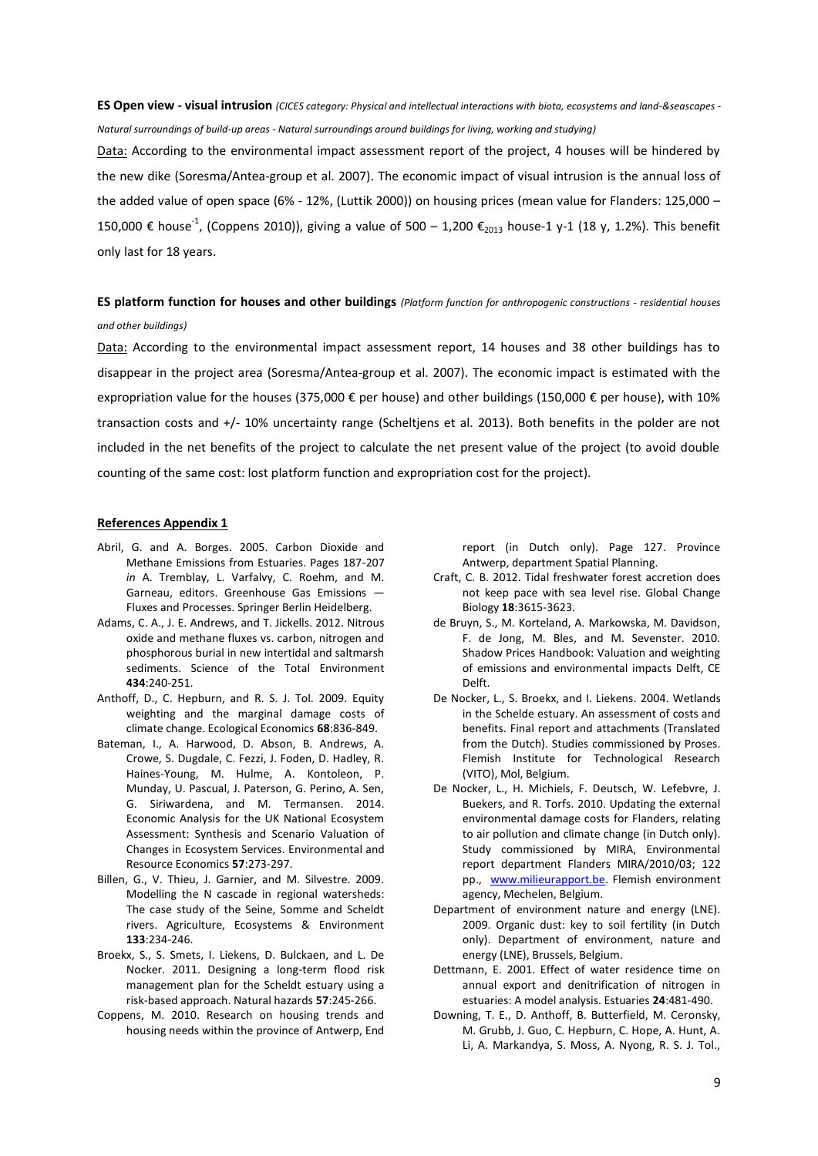## **ES Open view - visual intrusion** *(CICES category: Physical and intellectual interactions with biota, ecosystems and land-&seascapes - Natural surroundings of build-up areas - Natural surroundings around buildings for living, working and studying)*

Data: According to the environmental impact assessment report of the project, 4 houses will be hindered by the new dike [\(Soresma/Antea-group et al. 2007\)](#page-9-6). The economic impact of visual intrusion is the annual loss of the added value of open space (6% - 12%, [\(Luttik 2000\)](#page-9-22)) on housing prices (mean value for Flanders: 125,000 – 150,000 € house<sup>-1</sup>, [\(Coppens 2010\)](#page-8-13)), giving a value of 500 – 1,200 €<sub>2013</sub> house-1 y-1 (18 y, 1.2%). This benefit only last for 18 years.

## **ES platform function for houses and other buildings** *(Platform function for anthropogenic constructions - residential houses and other buildings)*

Data: According to the environmental impact assessment report, 14 houses and 38 other buildings has to disappear in the project area [\(Soresma/Antea-group et al. 2007\)](#page-9-6). The economic impact is estimated with the expropriation value for the houses (375,000  $\epsilon$  per house) and other buildings (150,000  $\epsilon$  per house), with 10% transaction costs and +/- 10% uncertainty range [\(Scheltjens et al. 2013\)](#page-9-23). Both benefits in the polder are not included in the net benefits of the project to calculate the net present value of the project (to avoid double counting of the same cost: lost platform function and expropriation cost for the project).

## **References Appendix 1**

- <span id="page-8-9"></span>Abril, G. and A. Borges. 2005. Carbon Dioxide and Methane Emissions from Estuaries. Pages 187-207 *in* A. Tremblay, L. Varfalvy, C. Roehm, and M. Garneau, editors. Greenhouse Gas Emissions — Fluxes and Processes. Springer Berlin Heidelberg.
- <span id="page-8-3"></span>Adams, C. A., J. E. Andrews, and T. Jickells. 2012. Nitrous oxide and methane fluxes vs. carbon, nitrogen and phosphorous burial in new intertidal and saltmarsh sediments. Science of the Total Environment **434**:240-251.
- <span id="page-8-7"></span>Anthoff, D., C. Hepburn, and R. S. J. Tol. 2009. Equity weighting and the marginal damage costs of climate change. Ecological Economics **68**:836-849.
- <span id="page-8-12"></span>Bateman, I., A. Harwood, D. Abson, B. Andrews, A. Crowe, S. Dugdale, C. Fezzi, J. Foden, D. Hadley, R. Haines-Young, M. Hulme, A. Kontoleon, P. Munday, U. Pascual, J. Paterson, G. Perino, A. Sen, G. Siriwardena, and M. Termansen. 2014. Economic Analysis for the UK National Ecosystem Assessment: Synthesis and Scenario Valuation of Changes in Ecosystem Services. Environmental and Resource Economics **57**:273-297.
- <span id="page-8-11"></span>Billen, G., V. Thieu, J. Garnier, and M. Silvestre. 2009. Modelling the N cascade in regional watersheds: The case study of the Seine, Somme and Scheldt rivers. Agriculture, Ecosystems & Environment **133**:234-246.
- <span id="page-8-1"></span>Broekx, S., S. Smets, I. Liekens, D. Bulckaen, and L. De Nocker. 2011. Designing a long-term flood risk management plan for the Scheldt estuary using a risk-based approach. Natural hazards **57**:245-266.
- <span id="page-8-13"></span>Coppens, M. 2010. Research on housing trends and housing needs within the province of Antwerp, End

report (in Dutch only). Page 127. Province Antwerp, department Spatial Planning.

- <span id="page-8-4"></span>Craft, C. B. 2012. Tidal freshwater forest accretion does not keep pace with sea level rise. Global Change Biology **18**:3615-3623.
- <span id="page-8-8"></span>de Bruyn, S., M. Korteland, A. Markowska, M. Davidson, F. de Jong, M. Bles, and M. Sevenster. 2010. Shadow Prices Handbook: Valuation and weighting of emissions and environmental impacts Delft, CE Delft.
- <span id="page-8-0"></span>De Nocker, L., S. Broekx, and I. Liekens. 2004. Wetlands in the Schelde estuary. An assessment of costs and benefits. Final report and attachments (Translated from the Dutch). Studies commissioned by Proses. Flemish Institute for Technological Research (VITO), Mol, Belgium.
- <span id="page-8-5"></span>De Nocker, L., H. Michiels, F. Deutsch, W. Lefebvre, J. Buekers, and R. Torfs. 2010. Updating the external environmental damage costs for Flanders, relating to air pollution and climate change (in Dutch only). Study commissioned by MIRA, Environmental report department Flanders MIRA/2010/03; 122 pp., [www.milieurapport.be.](http://www.milieurapport.be/) Flemish environment agency, Mechelen, Belgium.
- <span id="page-8-2"></span>Department of environment nature and energy (LNE). 2009. Organic dust: key to soil fertility (in Dutch only). Department of environment, nature and energy (LNE), Brussels, Belgium.
- <span id="page-8-10"></span>Dettmann, E. 2001. Effect of water residence time on annual export and denitrification of nitrogen in estuaries: A model analysis. Estuaries **24**:481-490.
- <span id="page-8-6"></span>Downing, T. E., D. Anthoff, B. Butterfield, M. Ceronsky, M. Grubb, J. Guo, C. Hepburn, C. Hope, A. Hunt, A. Li, A. Markandya, S. Moss, A. Nyong, R. S. J. Tol.,